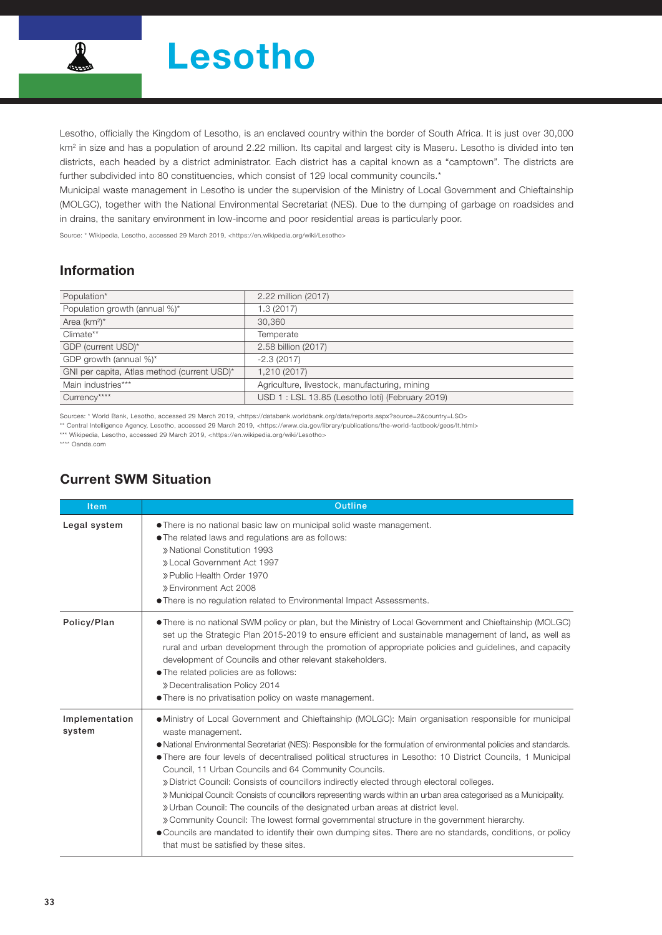

Lesotho, officially the Kingdom of Lesotho, is an enclaved country within the border of South Africa. It is just over 30,000 km<sup>2</sup> in size and has a population of around 2.22 million. Its capital and largest city is Maseru. Lesotho is divided into ten districts, each headed by a district administrator. Each district has a capital known as a "camptown". The districts are further subdivided into 80 constituencies, which consist of 129 local community councils.<sup>\*</sup>

Municipal waste management in Lesotho is under the supervision of the Ministry of Local Government and Chieftainship (MOLGC), together with the National Environmental Secretariat (NES). Due to the dumping of garbage on roadsides and in drains, the sanitary environment in low-income and poor residential areas is particularly poor.

Source: \* Wikipedia, Lesotho, accessed 29 March 2019, <https://en.wikipedia.org/wiki/Lesotho>

### Information

| Population*                                 | 2.22 million (2017)                             |
|---------------------------------------------|-------------------------------------------------|
| Population growth (annual %)*               | 1.3 (2017)                                      |
| Area $(km^2)^*$                             | 30.360                                          |
| Climate**                                   | Temperate                                       |
| GDP (current USD)*                          | 2.58 billion (2017)                             |
| GDP growth (annual %)*                      | $-2.3(2017)$                                    |
| GNI per capita, Atlas method (current USD)* | 1,210 (2017)                                    |
| Main industries***                          | Agriculture, livestock, manufacturing, mining   |
| Currency****                                | USD 1: LSL 13.85 (Lesotho loti) (February 2019) |

Sources: \* World Bank, Lesotho, accessed 29 March 2019, <https://databank.worldbank.org/data/reports.aspx?source=2&country=LSO>

\*\* Central Intelligence Agency, Lesotho, accessed 29 March 2019, <https://www.cia.gov/library/publications/the-world-factbook/geos/lt.html>

\*\*\* Wikipedia, Lesotho, accessed 29 March 2019, <https://en.wikipedia.org/wiki/Lesotho>

\*\*\*\* Oanda.com

| <b>Item</b>              | <b>Outline</b>                                                                                                                                                                                                                                                                                                                                                                                                                                                                                                                                                                                                                                                                                                                                                                                                                                                                                                                                                                          |  |  |  |  |
|--------------------------|-----------------------------------------------------------------------------------------------------------------------------------------------------------------------------------------------------------------------------------------------------------------------------------------------------------------------------------------------------------------------------------------------------------------------------------------------------------------------------------------------------------------------------------------------------------------------------------------------------------------------------------------------------------------------------------------------------------------------------------------------------------------------------------------------------------------------------------------------------------------------------------------------------------------------------------------------------------------------------------------|--|--|--|--|
| Legal system             | • There is no national basic law on municipal solid waste management.<br>• The related laws and regulations are as follows:<br>» National Constitution 1993<br>» Local Government Act 1997<br>» Public Health Order 1970<br>» Environment Act 2008<br>. There is no regulation related to Environmental Impact Assessments.                                                                                                                                                                                                                                                                                                                                                                                                                                                                                                                                                                                                                                                             |  |  |  |  |
| Policy/Plan              | • There is no national SWM policy or plan, but the Ministry of Local Government and Chieftainship (MOLGC)<br>set up the Strategic Plan 2015-2019 to ensure efficient and sustainable management of land, as well as<br>rural and urban development through the promotion of appropriate policies and guidelines, and capacity<br>development of Councils and other relevant stakeholders.<br>• The related policies are as follows:<br>» Decentralisation Policy 2014<br>• There is no privatisation policy on waste management.                                                                                                                                                                                                                                                                                                                                                                                                                                                        |  |  |  |  |
| Implementation<br>system | • Ministry of Local Government and Chieftainship (MOLGC): Main organisation responsible for municipal<br>waste management.<br>• National Environmental Secretariat (NES): Responsible for the formulation of environmental policies and standards.<br>• There are four levels of decentralised political structures in Lesotho: 10 District Councils, 1 Municipal<br>Council, 11 Urban Councils and 64 Community Councils.<br>» District Council: Consists of councillors indirectly elected through electoral colleges.<br>» Municipal Council: Consists of councillors representing wards within an urban area categorised as a Municipality.<br>» Urban Council: The councils of the designated urban areas at district level.<br>» Community Council: The lowest formal governmental structure in the government hierarchy.<br>• Councils are mandated to identify their own dumping sites. There are no standards, conditions, or policy<br>that must be satisfied by these sites. |  |  |  |  |

## Current SWM Situation